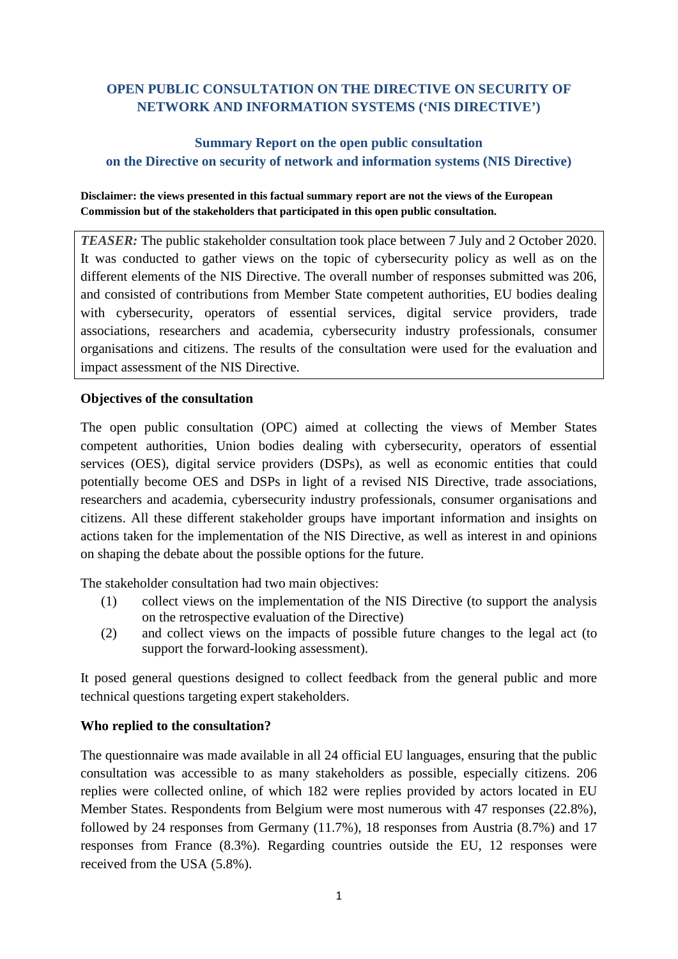# **OPEN PUBLIC CONSULTATION ON THE DIRECTIVE ON SECURITY OF NETWORK AND INFORMATION SYSTEMS ('NIS DIRECTIVE')**

## **Summary Report on the open public consultation on the Directive on security of network and information systems (NIS Directive)**

#### **Disclaimer: the views presented in this factual summary report are not the views of the European Commission but of the stakeholders that participated in this open public consultation.**

*TEASER:* The public stakeholder consultation took place between 7 July and 2 October 2020. It was conducted to gather views on the topic of cybersecurity policy as well as on the different elements of the NIS Directive. The overall number of responses submitted was 206, and consisted of contributions from Member State competent authorities, EU bodies dealing with cybersecurity, operators of essential services, digital service providers, trade associations, researchers and academia, cybersecurity industry professionals, consumer organisations and citizens. The results of the consultation were used for the evaluation and impact assessment of the NIS Directive.

### **Objectives of the consultation**

The open public consultation (OPC) aimed at collecting the views of Member States competent authorities, Union bodies dealing with cybersecurity, operators of essential services (OES), digital service providers (DSPs), as well as economic entities that could potentially become OES and DSPs in light of a revised NIS Directive, trade associations, researchers and academia, cybersecurity industry professionals, consumer organisations and citizens. All these different stakeholder groups have important information and insights on actions taken for the implementation of the NIS Directive, as well as interest in and opinions on shaping the debate about the possible options for the future.

The stakeholder consultation had two main objectives:

- (1) collect views on the implementation of the NIS Directive (to support the analysis on the retrospective evaluation of the Directive)
- (2) and collect views on the impacts of possible future changes to the legal act (to support the forward-looking assessment).

It posed general questions designed to collect feedback from the general public and more technical questions targeting expert stakeholders.

#### **Who replied to the consultation?**

The questionnaire was made available in all 24 official EU languages, ensuring that the public consultation was accessible to as many stakeholders as possible, especially citizens. 206 replies were collected online, of which 182 were replies provided by actors located in EU Member States. Respondents from Belgium were most numerous with 47 responses (22.8%), followed by 24 responses from Germany (11.7%), 18 responses from Austria (8.7%) and 17 responses from France (8.3%). Regarding countries outside the EU, 12 responses were received from the USA (5.8%).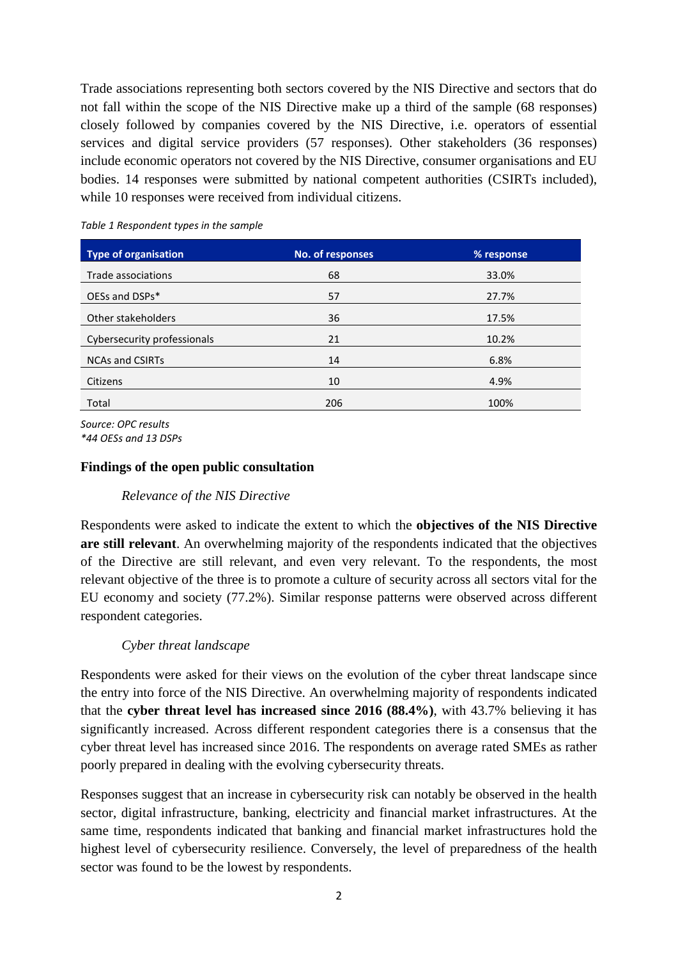Trade associations representing both sectors covered by the NIS Directive and sectors that do not fall within the scope of the NIS Directive make up a third of the sample (68 responses) closely followed by companies covered by the NIS Directive, i.e. operators of essential services and digital service providers (57 responses). Other stakeholders (36 responses) include economic operators not covered by the NIS Directive, consumer organisations and EU bodies. 14 responses were submitted by national competent authorities (CSIRTs included), while 10 responses were received from individual citizens.

| <b>Type of organisation</b> | No. of responses | % response |
|-----------------------------|------------------|------------|
| Trade associations          | 68               | 33.0%      |
| OESs and DSPs*              | 57               | 27.7%      |
| Other stakeholders          | 36               | 17.5%      |
| Cybersecurity professionals | 21               | 10.2%      |
| <b>NCAs and CSIRTs</b>      | 14               | 6.8%       |
| Citizens                    | 10               | 4.9%       |
| Total                       | 206              | 100%       |

*Table 1 Respondent types in the sample*

*Source: OPC results \*44 OESs and 13 DSPs*

#### **Findings of the open public consultation**

#### *Relevance of the NIS Directive*

Respondents were asked to indicate the extent to which the **objectives of the NIS Directive are still relevant**. An overwhelming majority of the respondents indicated that the objectives of the Directive are still relevant, and even very relevant. To the respondents, the most relevant objective of the three is to promote a culture of security across all sectors vital for the EU economy and society (77.2%). Similar response patterns were observed across different respondent categories.

#### *Cyber threat landscape*

Respondents were asked for their views on the evolution of the cyber threat landscape since the entry into force of the NIS Directive. An overwhelming majority of respondents indicated that the **cyber threat level has increased since 2016 (88.4%)**, with 43.7% believing it has significantly increased. Across different respondent categories there is a consensus that the cyber threat level has increased since 2016. The respondents on average rated SMEs as rather poorly prepared in dealing with the evolving cybersecurity threats.

Responses suggest that an increase in cybersecurity risk can notably be observed in the health sector, digital infrastructure, banking, electricity and financial market infrastructures. At the same time, respondents indicated that banking and financial market infrastructures hold the highest level of cybersecurity resilience. Conversely, the level of preparedness of the health sector was found to be the lowest by respondents.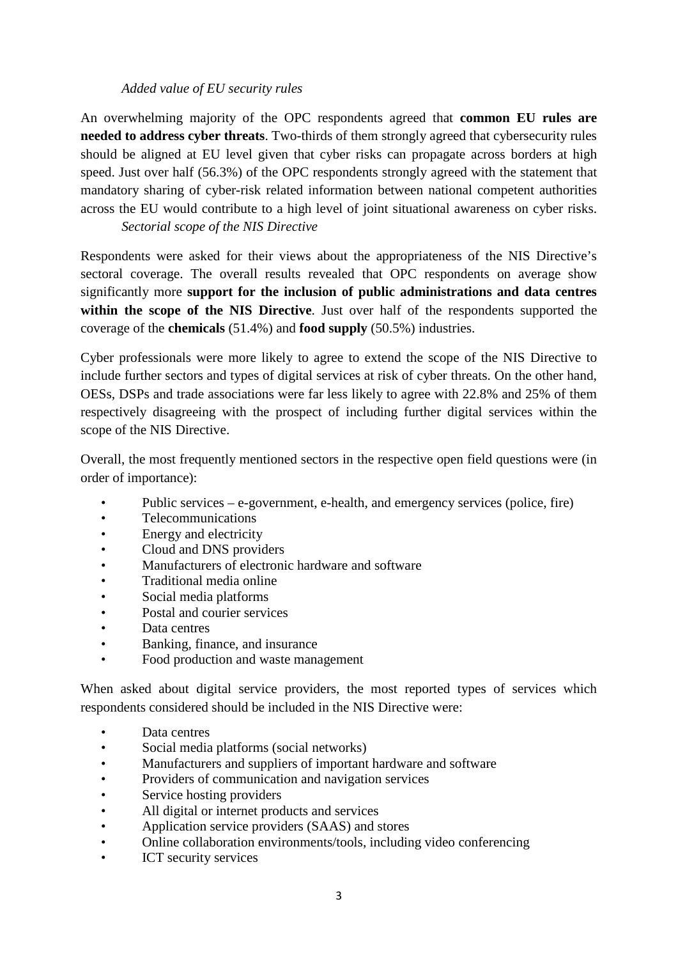### *Added value of EU security rules*

An overwhelming majority of the OPC respondents agreed that **common EU rules are needed to address cyber threats**. Two-thirds of them strongly agreed that cybersecurity rules should be aligned at EU level given that cyber risks can propagate across borders at high speed. Just over half (56.3%) of the OPC respondents strongly agreed with the statement that mandatory sharing of cyber-risk related information between national competent authorities across the EU would contribute to a high level of joint situational awareness on cyber risks.

*Sectorial scope of the NIS Directive*

Respondents were asked for their views about the appropriateness of the NIS Directive's sectoral coverage. The overall results revealed that OPC respondents on average show significantly more **support for the inclusion of public administrations and data centres within the scope of the NIS Directive**. Just over half of the respondents supported the coverage of the **chemicals** (51.4%) and **food supply** (50.5%) industries.

Cyber professionals were more likely to agree to extend the scope of the NIS Directive to include further sectors and types of digital services at risk of cyber threats. On the other hand, OESs, DSPs and trade associations were far less likely to agree with 22.8% and 25% of them respectively disagreeing with the prospect of including further digital services within the scope of the NIS Directive.

Overall, the most frequently mentioned sectors in the respective open field questions were (in order of importance):

- Public services e-government, e-health, and emergency services (police, fire)
- Telecommunications
- Energy and electricity
- Cloud and DNS providers
- Manufacturers of electronic hardware and software
- Traditional media online
- Social media platforms
- Postal and courier services
- Data centres
- Banking, finance, and insurance
- Food production and waste management

When asked about digital service providers, the most reported types of services which respondents considered should be included in the NIS Directive were:

- Data centres
- Social media platforms (social networks)
- Manufacturers and suppliers of important hardware and software
- Providers of communication and navigation services
- Service hosting providers
- All digital or internet products and services
- Application service providers (SAAS) and stores
- Online collaboration environments/tools, including video conferencing
- ICT security services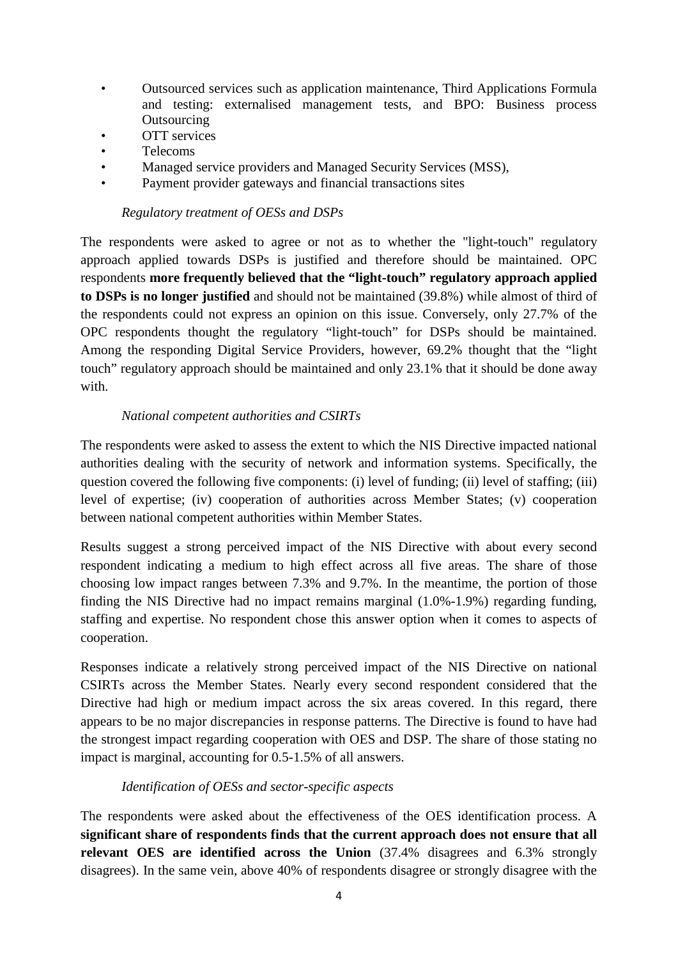- Outsourced services such as application maintenance, Third Applications Formula and testing: externalised management tests, and BPO: Business process **Outsourcing**
- OTT services
- Telecoms
- Managed service providers and Managed Security Services (MSS),
- Payment provider gateways and financial transactions sites

#### *Regulatory treatment of OESs and DSPs*

The respondents were asked to agree or not as to whether the "light-touch" regulatory approach applied towards DSPs is justified and therefore should be maintained. OPC respondents **more frequently believed that the "light-touch" regulatory approach applied to DSPs is no longer justified** and should not be maintained (39.8%) while almost of third of the respondents could not express an opinion on this issue. Conversely, only 27.7% of the OPC respondents thought the regulatory "light-touch" for DSPs should be maintained. Among the responding Digital Service Providers, however, 69.2% thought that the "light touch" regulatory approach should be maintained and only 23.1% that it should be done away with.

#### *National competent authorities and CSIRTs*

The respondents were asked to assess the extent to which the NIS Directive impacted national authorities dealing with the security of network and information systems. Specifically, the question covered the following five components: (i) level of funding; (ii) level of staffing; (iii) level of expertise; (iv) cooperation of authorities across Member States; (v) cooperation between national competent authorities within Member States.

Results suggest a strong perceived impact of the NIS Directive with about every second respondent indicating a medium to high effect across all five areas. The share of those choosing low impact ranges between 7.3% and 9.7%. In the meantime, the portion of those finding the NIS Directive had no impact remains marginal (1.0%-1.9%) regarding funding, staffing and expertise. No respondent chose this answer option when it comes to aspects of cooperation.

Responses indicate a relatively strong perceived impact of the NIS Directive on national CSIRTs across the Member States. Nearly every second respondent considered that the Directive had high or medium impact across the six areas covered. In this regard, there appears to be no major discrepancies in response patterns. The Directive is found to have had the strongest impact regarding cooperation with OES and DSP. The share of those stating no impact is marginal, accounting for 0.5-1.5% of all answers.

#### *Identification of OESs and sector-specific aspects*

The respondents were asked about the effectiveness of the OES identification process. A **significant share of respondents finds that the current approach does not ensure that all relevant OES are identified across the Union** (37.4% disagrees and 6.3% strongly disagrees). In the same vein, above 40% of respondents disagree or strongly disagree with the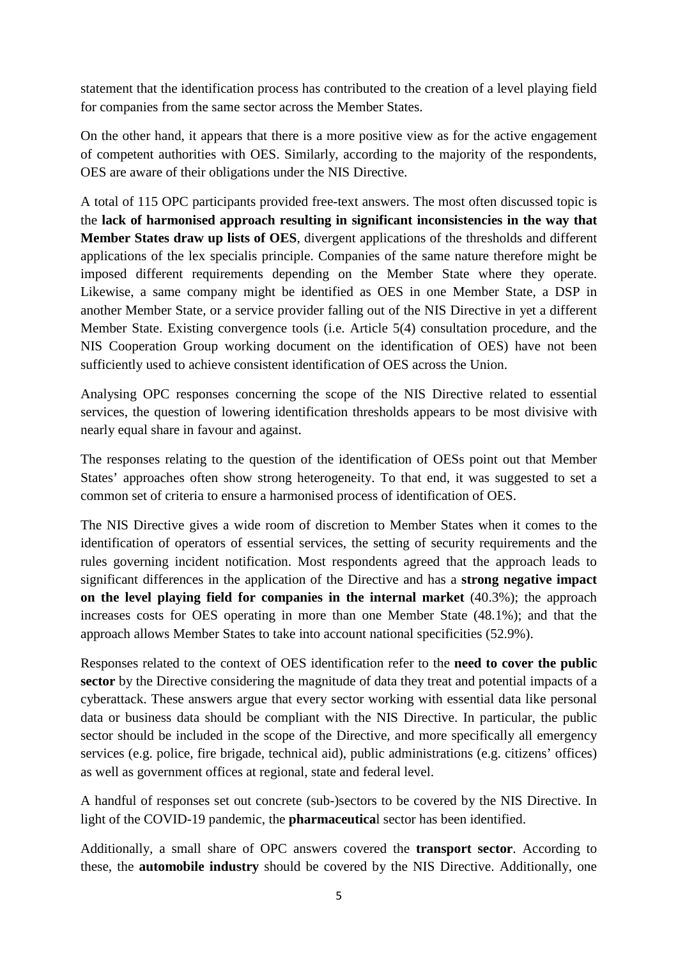statement that the identification process has contributed to the creation of a level playing field for companies from the same sector across the Member States.

On the other hand, it appears that there is a more positive view as for the active engagement of competent authorities with OES. Similarly, according to the majority of the respondents, OES are aware of their obligations under the NIS Directive.

A total of 115 OPC participants provided free-text answers. The most often discussed topic is the **lack of harmonised approach resulting in significant inconsistencies in the way that Member States draw up lists of OES**, divergent applications of the thresholds and different applications of the lex specialis principle. Companies of the same nature therefore might be imposed different requirements depending on the Member State where they operate. Likewise, a same company might be identified as OES in one Member State, a DSP in another Member State, or a service provider falling out of the NIS Directive in yet a different Member State. Existing convergence tools (i.e. Article 5(4) consultation procedure, and the NIS Cooperation Group working document on the identification of OES) have not been sufficiently used to achieve consistent identification of OES across the Union.

Analysing OPC responses concerning the scope of the NIS Directive related to essential services, the question of lowering identification thresholds appears to be most divisive with nearly equal share in favour and against.

The responses relating to the question of the identification of OESs point out that Member States' approaches often show strong heterogeneity. To that end, it was suggested to set a common set of criteria to ensure a harmonised process of identification of OES.

The NIS Directive gives a wide room of discretion to Member States when it comes to the identification of operators of essential services, the setting of security requirements and the rules governing incident notification. Most respondents agreed that the approach leads to significant differences in the application of the Directive and has a **strong negative impact on the level playing field for companies in the internal market** (40.3%); the approach increases costs for OES operating in more than one Member State (48.1%); and that the approach allows Member States to take into account national specificities (52.9%).

Responses related to the context of OES identification refer to the **need to cover the public sector** by the Directive considering the magnitude of data they treat and potential impacts of a cyberattack. These answers argue that every sector working with essential data like personal data or business data should be compliant with the NIS Directive. In particular, the public sector should be included in the scope of the Directive, and more specifically all emergency services (e.g. police, fire brigade, technical aid), public administrations (e.g. citizens' offices) as well as government offices at regional, state and federal level.

A handful of responses set out concrete (sub-)sectors to be covered by the NIS Directive. In light of the COVID-19 pandemic, the **pharmaceutica**l sector has been identified.

Additionally, a small share of OPC answers covered the **transport sector**. According to these, the **automobile industry** should be covered by the NIS Directive. Additionally, one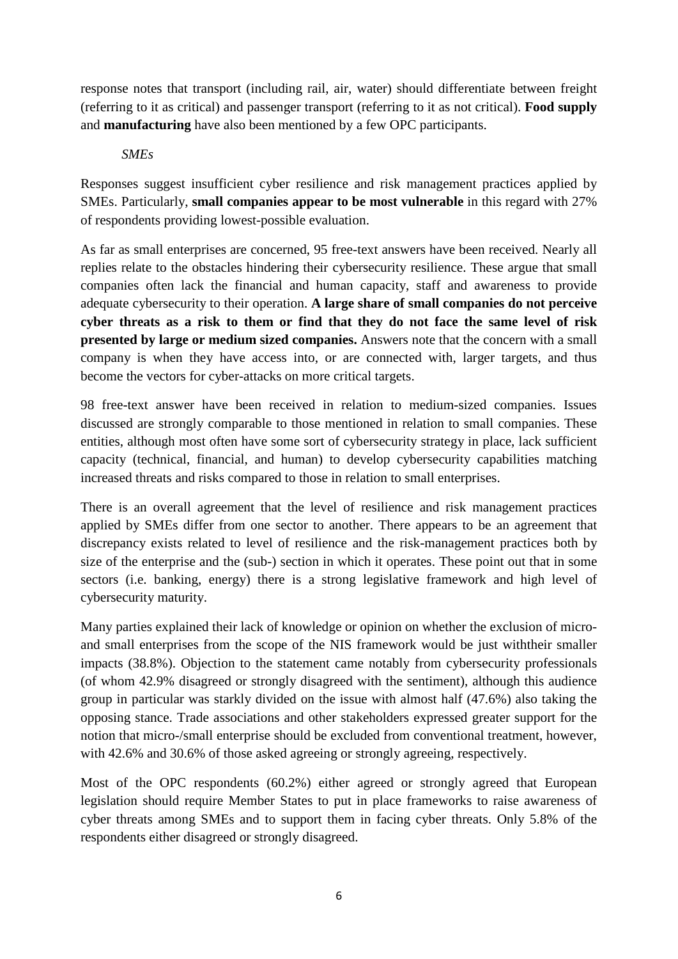response notes that transport (including rail, air, water) should differentiate between freight (referring to it as critical) and passenger transport (referring to it as not critical). **Food supply** and **manufacturing** have also been mentioned by a few OPC participants.

### *SMEs*

Responses suggest insufficient cyber resilience and risk management practices applied by SMEs. Particularly, **small companies appear to be most vulnerable** in this regard with 27% of respondents providing lowest-possible evaluation.

As far as small enterprises are concerned, 95 free-text answers have been received. Nearly all replies relate to the obstacles hindering their cybersecurity resilience. These argue that small companies often lack the financial and human capacity, staff and awareness to provide adequate cybersecurity to their operation. **A large share of small companies do not perceive cyber threats as a risk to them or find that they do not face the same level of risk presented by large or medium sized companies.** Answers note that the concern with a small company is when they have access into, or are connected with, larger targets, and thus become the vectors for cyber-attacks on more critical targets.

98 free-text answer have been received in relation to medium-sized companies. Issues discussed are strongly comparable to those mentioned in relation to small companies. These entities, although most often have some sort of cybersecurity strategy in place, lack sufficient capacity (technical, financial, and human) to develop cybersecurity capabilities matching increased threats and risks compared to those in relation to small enterprises.

There is an overall agreement that the level of resilience and risk management practices applied by SMEs differ from one sector to another. There appears to be an agreement that discrepancy exists related to level of resilience and the risk-management practices both by size of the enterprise and the (sub-) section in which it operates. These point out that in some sectors (i.e. banking, energy) there is a strong legislative framework and high level of cybersecurity maturity.

Many parties explained their lack of knowledge or opinion on whether the exclusion of microand small enterprises from the scope of the NIS framework would be just withtheir smaller impacts (38.8%). Objection to the statement came notably from cybersecurity professionals (of whom 42.9% disagreed or strongly disagreed with the sentiment), although this audience group in particular was starkly divided on the issue with almost half (47.6%) also taking the opposing stance. Trade associations and other stakeholders expressed greater support for the notion that micro-/small enterprise should be excluded from conventional treatment, however, with 42.6% and 30.6% of those asked agreeing or strongly agreeing, respectively.

Most of the OPC respondents (60.2%) either agreed or strongly agreed that European legislation should require Member States to put in place frameworks to raise awareness of cyber threats among SMEs and to support them in facing cyber threats. Only 5.8% of the respondents either disagreed or strongly disagreed.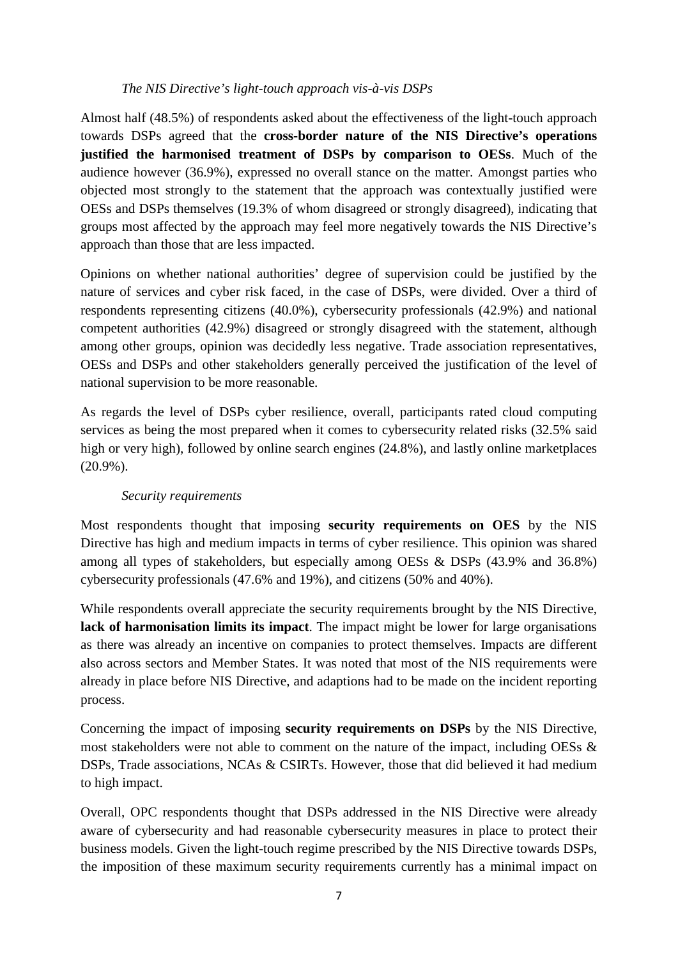### *The NIS Directive's light-touch approach vis-à-vis DSPs*

Almost half (48.5%) of respondents asked about the effectiveness of the light-touch approach towards DSPs agreed that the **cross-border nature of the NIS Directive's operations justified the harmonised treatment of DSPs by comparison to OESs**. Much of the audience however (36.9%), expressed no overall stance on the matter. Amongst parties who objected most strongly to the statement that the approach was contextually justified were OESs and DSPs themselves (19.3% of whom disagreed or strongly disagreed), indicating that groups most affected by the approach may feel more negatively towards the NIS Directive's approach than those that are less impacted.

Opinions on whether national authorities' degree of supervision could be justified by the nature of services and cyber risk faced, in the case of DSPs, were divided. Over a third of respondents representing citizens (40.0%), cybersecurity professionals (42.9%) and national competent authorities (42.9%) disagreed or strongly disagreed with the statement, although among other groups, opinion was decidedly less negative. Trade association representatives, OESs and DSPs and other stakeholders generally perceived the justification of the level of national supervision to be more reasonable.

As regards the level of DSPs cyber resilience, overall, participants rated cloud computing services as being the most prepared when it comes to cybersecurity related risks (32.5% said high or very high), followed by online search engines (24.8%), and lastly online marketplaces (20.9%).

### *Security requirements*

Most respondents thought that imposing **security requirements on OES** by the NIS Directive has high and medium impacts in terms of cyber resilience. This opinion was shared among all types of stakeholders, but especially among OESs & DSPs (43.9% and 36.8%) cybersecurity professionals (47.6% and 19%), and citizens (50% and 40%).

While respondents overall appreciate the security requirements brought by the NIS Directive, **lack of harmonisation limits its impact**. The impact might be lower for large organisations as there was already an incentive on companies to protect themselves. Impacts are different also across sectors and Member States. It was noted that most of the NIS requirements were already in place before NIS Directive, and adaptions had to be made on the incident reporting process.

Concerning the impact of imposing **security requirements on DSPs** by the NIS Directive, most stakeholders were not able to comment on the nature of the impact, including OESs  $\&$ DSPs, Trade associations, NCAs & CSIRTs. However, those that did believed it had medium to high impact.

Overall, OPC respondents thought that DSPs addressed in the NIS Directive were already aware of cybersecurity and had reasonable cybersecurity measures in place to protect their business models. Given the light-touch regime prescribed by the NIS Directive towards DSPs, the imposition of these maximum security requirements currently has a minimal impact on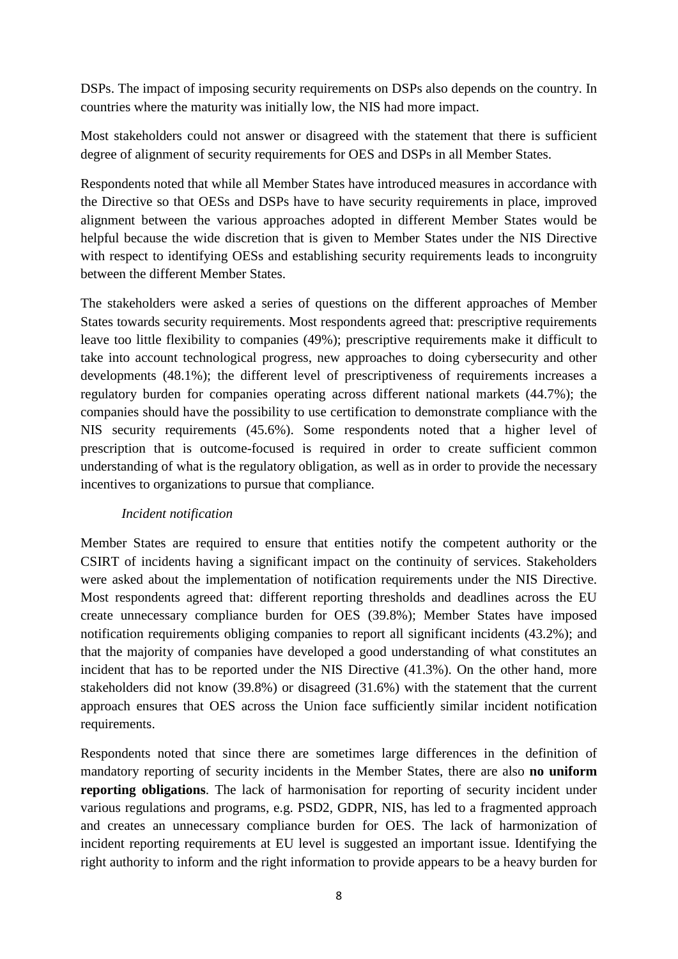DSPs. The impact of imposing security requirements on DSPs also depends on the country. In countries where the maturity was initially low, the NIS had more impact.

Most stakeholders could not answer or disagreed with the statement that there is sufficient degree of alignment of security requirements for OES and DSPs in all Member States.

Respondents noted that while all Member States have introduced measures in accordance with the Directive so that OESs and DSPs have to have security requirements in place, improved alignment between the various approaches adopted in different Member States would be helpful because the wide discretion that is given to Member States under the NIS Directive with respect to identifying OESs and establishing security requirements leads to incongruity between the different Member States.

The stakeholders were asked a series of questions on the different approaches of Member States towards security requirements. Most respondents agreed that: prescriptive requirements leave too little flexibility to companies (49%); prescriptive requirements make it difficult to take into account technological progress, new approaches to doing cybersecurity and other developments (48.1%); the different level of prescriptiveness of requirements increases a regulatory burden for companies operating across different national markets (44.7%); the companies should have the possibility to use certification to demonstrate compliance with the NIS security requirements (45.6%). Some respondents noted that a higher level of prescription that is outcome-focused is required in order to create sufficient common understanding of what is the regulatory obligation, as well as in order to provide the necessary incentives to organizations to pursue that compliance.

### *Incident notification*

Member States are required to ensure that entities notify the competent authority or the CSIRT of incidents having a significant impact on the continuity of services. Stakeholders were asked about the implementation of notification requirements under the NIS Directive. Most respondents agreed that: different reporting thresholds and deadlines across the EU create unnecessary compliance burden for OES (39.8%); Member States have imposed notification requirements obliging companies to report all significant incidents (43.2%); and that the majority of companies have developed a good understanding of what constitutes an incident that has to be reported under the NIS Directive (41.3%). On the other hand, more stakeholders did not know (39.8%) or disagreed (31.6%) with the statement that the current approach ensures that OES across the Union face sufficiently similar incident notification requirements.

Respondents noted that since there are sometimes large differences in the definition of mandatory reporting of security incidents in the Member States, there are also **no uniform reporting obligations**. The lack of harmonisation for reporting of security incident under various regulations and programs, e.g. PSD2, GDPR, NIS, has led to a fragmented approach and creates an unnecessary compliance burden for OES. The lack of harmonization of incident reporting requirements at EU level is suggested an important issue. Identifying the right authority to inform and the right information to provide appears to be a heavy burden for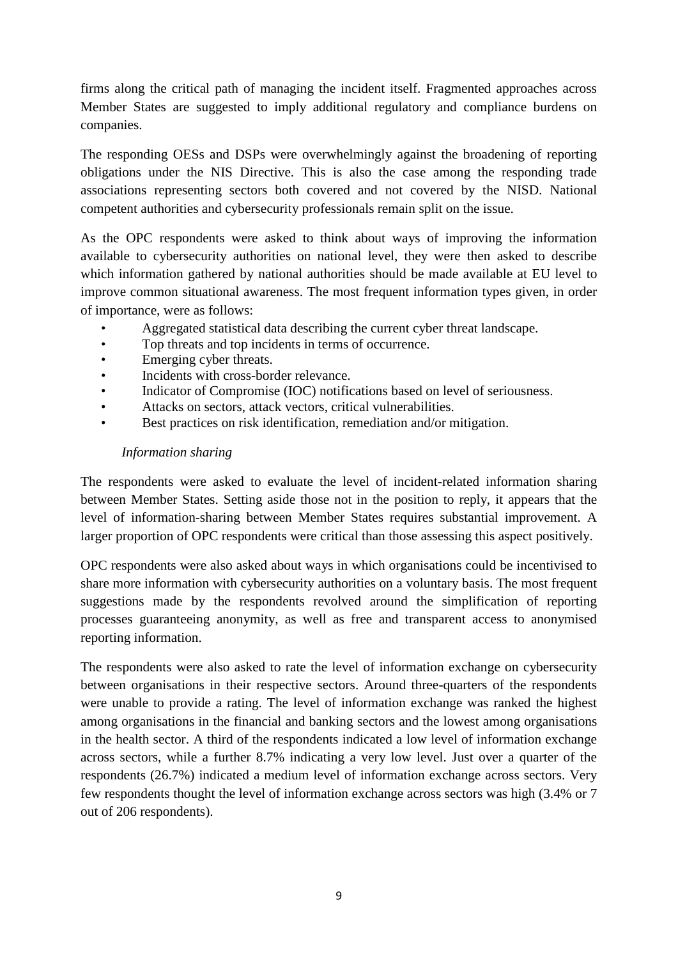firms along the critical path of managing the incident itself. Fragmented approaches across Member States are suggested to imply additional regulatory and compliance burdens on companies.

The responding OESs and DSPs were overwhelmingly against the broadening of reporting obligations under the NIS Directive. This is also the case among the responding trade associations representing sectors both covered and not covered by the NISD. National competent authorities and cybersecurity professionals remain split on the issue.

As the OPC respondents were asked to think about ways of improving the information available to cybersecurity authorities on national level, they were then asked to describe which information gathered by national authorities should be made available at EU level to improve common situational awareness. The most frequent information types given, in order of importance, were as follows:

- Aggregated statistical data describing the current cyber threat landscape.
- Top threats and top incidents in terms of occurrence.
- Emerging cyber threats.
- Incidents with cross-border relevance.
- Indicator of Compromise (IOC) notifications based on level of seriousness.
- Attacks on sectors, attack vectors, critical vulnerabilities.
- Best practices on risk identification, remediation and/or mitigation.

### *Information sharing*

The respondents were asked to evaluate the level of incident-related information sharing between Member States. Setting aside those not in the position to reply, it appears that the level of information-sharing between Member States requires substantial improvement. A larger proportion of OPC respondents were critical than those assessing this aspect positively.

OPC respondents were also asked about ways in which organisations could be incentivised to share more information with cybersecurity authorities on a voluntary basis. The most frequent suggestions made by the respondents revolved around the simplification of reporting processes guaranteeing anonymity, as well as free and transparent access to anonymised reporting information.

The respondents were also asked to rate the level of information exchange on cybersecurity between organisations in their respective sectors. Around three-quarters of the respondents were unable to provide a rating. The level of information exchange was ranked the highest among organisations in the financial and banking sectors and the lowest among organisations in the health sector. A third of the respondents indicated a low level of information exchange across sectors, while a further 8.7% indicating a very low level. Just over a quarter of the respondents (26.7%) indicated a medium level of information exchange across sectors. Very few respondents thought the level of information exchange across sectors was high (3.4% or 7 out of 206 respondents).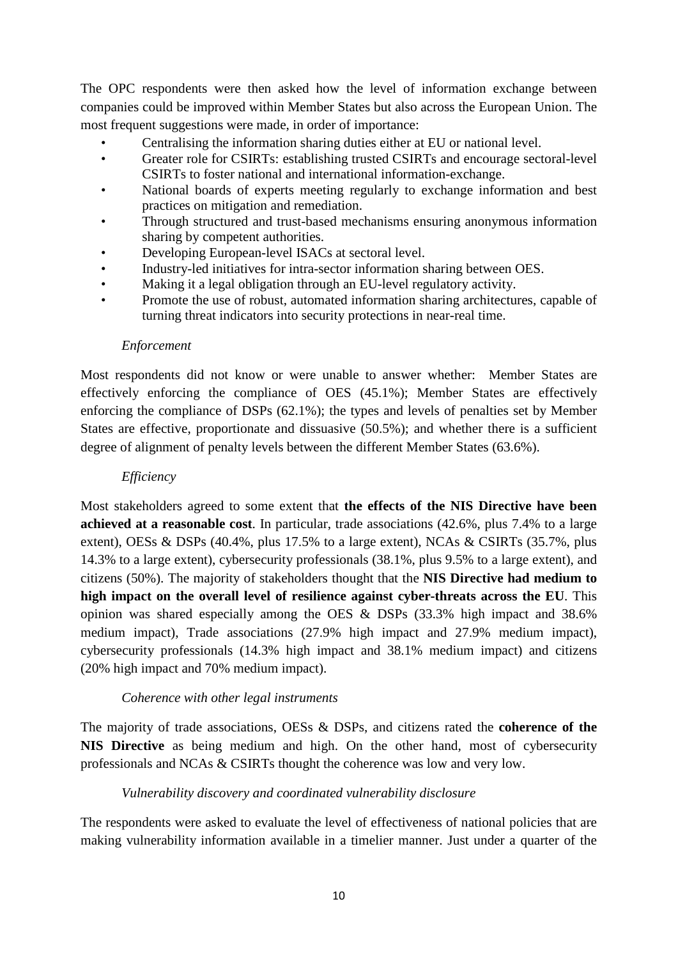The OPC respondents were then asked how the level of information exchange between companies could be improved within Member States but also across the European Union. The most frequent suggestions were made, in order of importance:

- Centralising the information sharing duties either at EU or national level.
- Greater role for CSIRTs: establishing trusted CSIRTs and encourage sectoral-level CSIRTs to foster national and international information-exchange.
- National boards of experts meeting regularly to exchange information and best practices on mitigation and remediation.
- Through structured and trust-based mechanisms ensuring anonymous information sharing by competent authorities.
- Developing European-level ISACs at sectoral level.
- Industry-led initiatives for intra-sector information sharing between OES.
- Making it a legal obligation through an EU-level regulatory activity.
- Promote the use of robust, automated information sharing architectures, capable of turning threat indicators into security protections in near-real time.

### *Enforcement*

Most respondents did not know or were unable to answer whether: Member States are effectively enforcing the compliance of OES (45.1%); Member States are effectively enforcing the compliance of DSPs (62.1%); the types and levels of penalties set by Member States are effective, proportionate and dissuasive (50.5%); and whether there is a sufficient degree of alignment of penalty levels between the different Member States (63.6%).

### *Efficiency*

Most stakeholders agreed to some extent that **the effects of the NIS Directive have been achieved at a reasonable cost**. In particular, trade associations (42.6%, plus 7.4% to a large extent), OESs & DSPs (40.4%, plus 17.5% to a large extent), NCAs & CSIRTs (35.7%, plus 14.3% to a large extent), cybersecurity professionals (38.1%, plus 9.5% to a large extent), and citizens (50%). The majority of stakeholders thought that the **NIS Directive had medium to high impact on the overall level of resilience against cyber-threats across the EU**. This opinion was shared especially among the OES & DSPs (33.3% high impact and 38.6% medium impact), Trade associations (27.9% high impact and 27.9% medium impact), cybersecurity professionals (14.3% high impact and 38.1% medium impact) and citizens (20% high impact and 70% medium impact).

### *Coherence with other legal instruments*

The majority of trade associations, OESs & DSPs, and citizens rated the **coherence of the NIS Directive** as being medium and high. On the other hand, most of cybersecurity professionals and NCAs & CSIRTs thought the coherence was low and very low.

# *Vulnerability discovery and coordinated vulnerability disclosure*

The respondents were asked to evaluate the level of effectiveness of national policies that are making vulnerability information available in a timelier manner. Just under a quarter of the